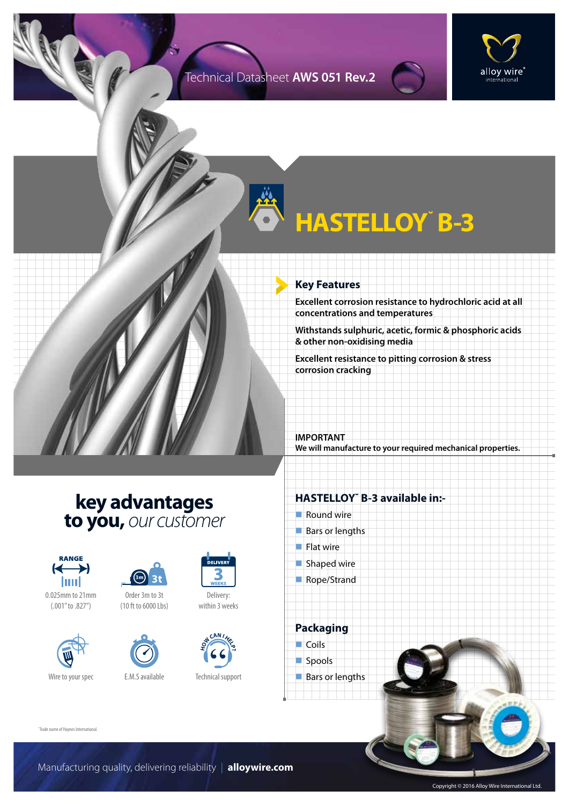#### Technical Datasheet **AWS 051 Rev.2**



# **HASTELLOY˘ B-3**

#### **Key Features**

**Excellent corrosion resistance to hydrochloric acid at all concentrations and temperatures**

**Withstands sulphuric, acetic, formic & phosphoric acids & other non-oxidising media**

**Excellent resistance to pitting corrosion & stress corrosion cracking**

**IMPORTANT We will manufacture to your required mechanical properties.**

### **key advantages to you,** *our customer*



0.025mm to 21mm (.001" to .827")





Order 3m to 3t (10 ft to 6000 Lbs)



Delivery:

within 3 weeks



 $\blacksquare$  Shaped wire

**HASTELLOY˘ B-3 available in:-**

Rope/Strand

 $\blacksquare$  Round wire  $Bars$  or lengths

 $\blacksquare$  Flat wire

**Packaging**  $\Box$  Coils spools  $\blacksquare$  Bars or lengths

˘Trade name of Haynes International.

Manufacturing quality, delivering reliability | **alloywire.com**

Copyright © 2016 Alloy Wire International Ltd.